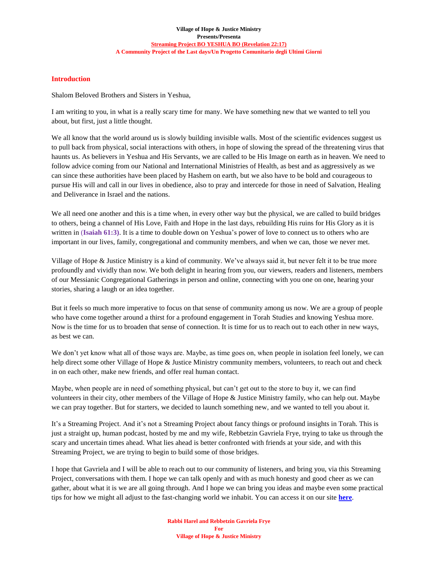### **Village of Hope & Justice Ministry Presents/Presenta [Streaming Project BO YESHUA BO \(Revelation 22:17\)](https://villageofhopejusticeministry.org/italian-messianic-bible-institute-istituto-messianico-biblico-italiano/) A Community Project of the Last days/Un Progetto Comunitario degli Ultimi Giorni**

# **Introduction**

Shalom Beloved Brothers and Sisters in Yeshua,

I am writing to you, in what is a really scary time for many. We have something new that we wanted to tell you about, but first, just a little thought.

We all know that the world around us is slowly building invisible walls. Most of the scientific evidences suggest us to pull back from physical, social interactions with others, in hope of slowing the spread of the threatening virus that haunts us. As believers in Yeshua and His Servants, we are called to be His Image on earth as in heaven. We need to follow advice coming from our National and International Ministries of Health, as best and as aggressively as we can since these authorities have been placed by Hashem on earth, but we also have to be bold and courageous to pursue His will and call in our lives in obedience, also to pray and intercede for those in need of Salvation, Healing and Deliverance in Israel and the nations.

We all need one another and this is a time when, in every other way but the physical, we are called to build bridges to others, being a channel of His Love, Faith and Hope in the last days, rebuilding His ruins for His Glory as it is written in (**Isaiah 61:3)**. It is a time to double down on Yeshua's power of love to connect us to others who are important in our lives, family, congregational and community members, and when we can, those we never met.

Village of Hope & Justice Ministry is a kind of community. We've always said it, but never felt it to be true more profoundly and vividly than now. We both delight in hearing from you, our viewers, readers and listeners, members of our Messianic Congregational Gatherings in person and online, connecting with you one on one, hearing your stories, sharing a laugh or an idea together.

But it feels so much more imperative to focus on that sense of community among us now. We are a group of people who have come together around a thirst for a profound engagement in Torah Studies and knowing Yeshua more. Now is the time for us to broaden that sense of connection. It is time for us to reach out to each other in new ways, as best we can.

We don't yet know what all of those ways are. Maybe, as time goes on, when people in isolation feel lonely, we can help direct some other Village of Hope & Justice Ministry community members, volunteers, to reach out and check in on each other, make new friends, and offer real human contact.

Maybe, when people are in need of something physical, but can't get out to the store to buy it, we can find volunteers in their city, other members of the Village of Hope & Justice Ministry family, who can help out. Maybe we can pray together. But for starters, we decided to launch something new, and we wanted to tell you about it.

It's a Streaming Project. And it's not a Streaming Project about fancy things or profound insights in Torah. This is just a straight up, human podcast, hosted by me and my wife, Rebbetzin Gavriela Frye, trying to take us through the scary and uncertain times ahead. What lies ahead is better confronted with friends at your side, and with this Streaming Project, we are trying to begin to build some of those bridges.

I hope that Gavriela and I will be able to reach out to our community of listeners, and bring you, via this Streaming Project, conversations with them. I hope we can talk openly and with as much honesty and good cheer as we can gather, about what it is we are all going through. And I hope we can bring you ideas and maybe even some practical tips for how we might all adjust to the fast-changing world we inhabit. You can access it on our site **[here](https://villageofhopejusticeministry.org/italian-messianic-bible-institute-istituto-messianico-biblico-italiano/)**.

> **Rabbi Harel and Rebbetzin Gavriela Frye For Village of Hope & Justice Ministry**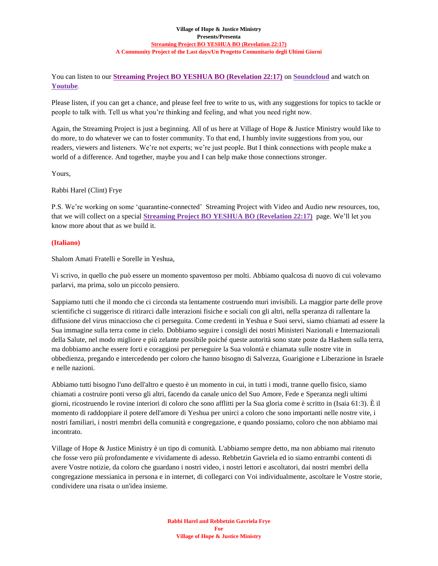### **Village of Hope & Justice Ministry Presents/Presenta [Streaming Project BO YESHUA BO \(Revelation 22:17\)](https://villageofhopejusticeministry.org/italian-messianic-bible-institute-istituto-messianico-biblico-italiano/) A Community Project of the Last days/Un Progetto Comunitario degli Ultimi Giorni**

You can listen to our **[Streaming Project BO YESHUA BO \(Revelation 22:17\)](https://villageofhopejusticeministry.org/italian-messianic-bible-institute-istituto-messianico-biblico-italiano/)** on **[Soundcloud](https://soundcloud.com/user-114005263/)** and watch on **[Youtube](https://www.youtube.com/channel/UCZxcvhRbMC0ynSBx5drA9Fg?view_as=subscriber)**.

Please listen, if you can get a chance, and please feel free to write to us, with any suggestions for topics to tackle or people to talk with. Tell us what you're thinking and feeling, and what you need right now.

Again, the Streaming Project is just a beginning. All of us here at Village of Hope & Justice Ministry would like to do more, to do whatever we can to foster community. To that end, I humbly invite suggestions from you, our readers, viewers and listeners. We're not experts; we're just people. But I think connections with people make a world of a difference. And together, maybe you and I can help make those connections stronger.

Yours,

Rabbi Harel (Clint) Frye

P.S. We're working on some 'quarantine-connected' Streaming Project with Video and Audio new resources, too, that we will collect on a special **[Streaming Project BO YESHUA BO \(Revelation 22:17\)](https://villageofhopejusticeministry.org/italian-messianic-bible-institute-istituto-messianico-biblico-italiano/)** page. We'll let you know more about that as we build it.

# **(Italiano)**

Shalom Amati Fratelli e Sorelle in Yeshua,

Vi scrivo, in quello che può essere un momento spaventoso per molti. Abbiamo qualcosa di nuovo di cui volevamo parlarvi, ma prima, solo un piccolo pensiero.

Sappiamo tutti che il mondo che ci circonda sta lentamente costruendo muri invisibili. La maggior parte delle prove scientifiche ci suggerisce di ritirarci dalle interazioni fisiche e sociali con gli altri, nella speranza di rallentare la diffusione del virus minaccioso che ci perseguita. Come credenti in Yeshua e Suoi servi, siamo chiamati ad essere la Sua immagine sulla terra come in cielo. Dobbiamo seguire i consigli dei nostri Ministeri Nazionali e Internazionali della Salute, nel modo migliore e più zelante possibile poiché queste autorità sono state poste da Hashem sulla terra, ma dobbiamo anche essere forti e coraggiosi per perseguire la Sua volontà e chiamata sulle nostre vite in obbedienza, pregando e intercedendo per coloro che hanno bisogno di Salvezza, Guarigione e Liberazione in Israele e nelle nazioni.

Abbiamo tutti bisogno l'uno dell'altro e questo è un momento in cui, in tutti i modi, tranne quello fisico, siamo chiamati a costruire ponti verso gli altri, facendo da canale unico del Suo Amore, Fede e Speranza negli ultimi giorni, ricostruendo le rovine interiori di coloro che sono afflitti per la Sua gloria come è scritto in (Isaia 61:3). È il momento di raddoppiare il potere dell'amore di Yeshua per unirci a coloro che sono importanti nelle nostre vite, i nostri familiari, i nostri membri della comunità e congregazione, e quando possiamo, coloro che non abbiamo mai incontrato.

Village of Hope & Justice Ministry è un tipo di comunità. L'abbiamo sempre detto, ma non abbiamo mai ritenuto che fosse vero più profondamente e vividamente di adesso. Rebbetzin Gavriela ed io siamo entrambi contenti di avere Vostre notizie, da coloro che guardano i nostri video, i nostri lettori e ascoltatori, dai nostri membri della congregazione messianica in persona e in internet, di collegarci con Voi individualmente, ascoltare le Vostre storie, condividere una risata o un'idea insieme.

> **Rabbi Harel and Rebbetzin Gavriela Frye For Village of Hope & Justice Ministry**